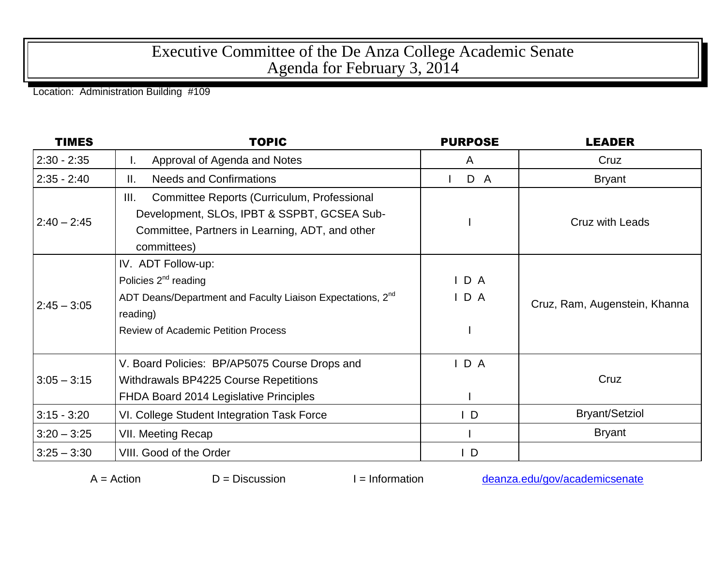## Executive Committee of the De Anza College Academic Senate Agenda for February 3, 2014

Location: Administration Building #109

| <b>TIMES</b>  | <b>TOPIC</b>                                                                                                                                                                        | <b>PURPOSE</b> | <b>LEADER</b>                 |
|---------------|-------------------------------------------------------------------------------------------------------------------------------------------------------------------------------------|----------------|-------------------------------|
| $2:30 - 2:35$ | Approval of Agenda and Notes<br>I.                                                                                                                                                  | A              | Cruz                          |
| $2:35 - 2:40$ | <b>Needs and Confirmations</b><br>Ⅱ.                                                                                                                                                | D A            | <b>Bryant</b>                 |
| $2:40 - 2:45$ | III.<br>Committee Reports (Curriculum, Professional<br>Development, SLOs, IPBT & SSPBT, GCSEA Sub-<br>Committee, Partners in Learning, ADT, and other<br>committees)                |                | <b>Cruz with Leads</b>        |
| $2:45 - 3:05$ | IV. ADT Follow-up:<br>Policies $2^{nd}$ reading<br>ADT Deans/Department and Faculty Liaison Expectations, 2 <sup>nd</sup><br>reading)<br><b>Review of Academic Petition Process</b> | IDA<br>IDA     | Cruz, Ram, Augenstein, Khanna |
| $3:05 - 3:15$ | V. Board Policies: BP/AP5075 Course Drops and<br>Withdrawals BP4225 Course Repetitions<br>FHDA Board 2014 Legislative Principles                                                    | IDA            | Cruz                          |
| $3:15 - 3:20$ | VI. College Student Integration Task Force                                                                                                                                          | $\mathsf{I}$   | <b>Bryant/Setziol</b>         |
| $3:20 - 3:25$ | VII. Meeting Recap                                                                                                                                                                  |                | <b>Bryant</b>                 |
| $3:25 - 3:30$ | VIII. Good of the Order                                                                                                                                                             | D              |                               |

 $A =$ Action  $D =$  Discussion I = Information [deanza.edu/gov/academicsenate](http://www.deanza.edu/gov/academicsenate)